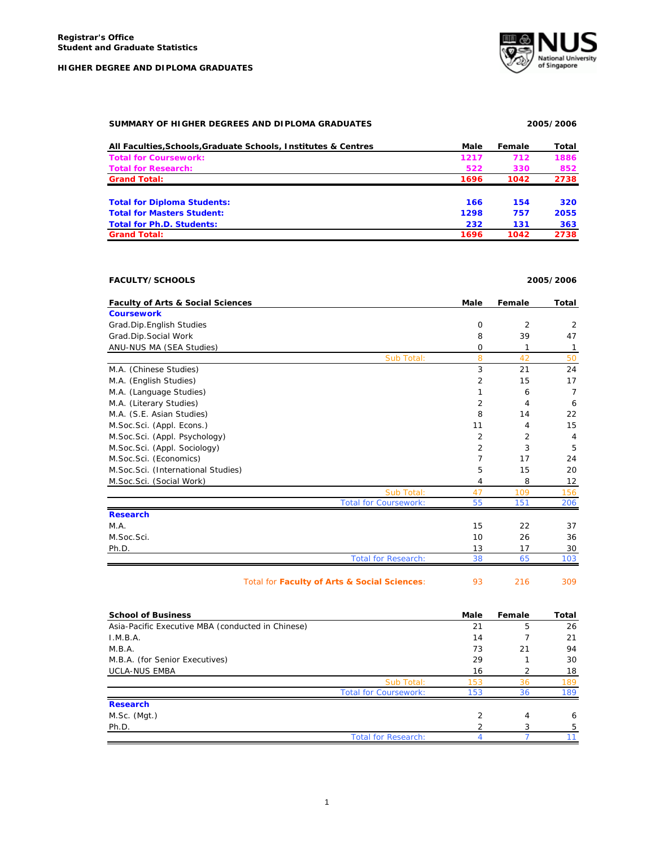

### **SUMMARY OF HIGHER DEGREES AND DIPLOMA GRADUATES 2005/2006**

| All Faculties. Schools. Graduate Schools. Institutes & Centres | Male | Female | Total |
|----------------------------------------------------------------|------|--------|-------|
| <b>Total for Coursework:</b>                                   | 1217 | 712    | 1886  |
| <b>Total for Research:</b>                                     | 522  | 330    | 852   |
| <b>Grand Total:</b>                                            | 1696 | 1042   | 2738  |
|                                                                |      |        |       |
| <b>Total for Diploma Students:</b>                             | 166  | 154    | 320   |
| <b>Total for Masters Student:</b>                              | 1298 | 757    | 2055  |
| <b>Total for Ph.D. Students:</b>                               | 232  | 131    | 363   |
| <b>Grand Total:</b>                                            | 1696 | 1042   | 2738  |

## **FACULTY/SCHOOLS 2005/2006**

| <b>Faculty of Arts &amp; Social Sciences</b> | Male           | Female         | Total |
|----------------------------------------------|----------------|----------------|-------|
| <b>Coursework</b>                            |                |                |       |
| Grad.Dip.English Studies                     | $\mathbf 0$    | $\overline{2}$ | 2     |
| Grad.Dip.Social Work                         | 8              | 39             | 47    |
| ANU-NUS MA (SEA Studies)                     | $\mathbf 0$    | 1              | 1     |
| Sub Total:                                   | 8              | 42             | 50    |
| M.A. (Chinese Studies)                       | 3              | 21             | 24    |
| M.A. (English Studies)                       | 2              | 15             | 17    |
| M.A. (Language Studies)                      | 1              | 6              | 7     |
| M.A. (Literary Studies)                      | 2              | 4              | 6     |
| M.A. (S.E. Asian Studies)                    | 8              | 14             | 22    |
| M.Soc.Sci. (Appl. Econs.)                    | 11             | 4              | 15    |
| M.Soc.Sci. (Appl. Psychology)                | 2              | 2              | 4     |
| M.Soc.Sci. (Appl. Sociology)                 | $\overline{2}$ | 3              | 5     |
| M.Soc.Sci. (Economics)                       | 7              | 17             | 24    |
| M.Soc.Sci. (International Studies)           | 5              | 15             | 20    |
| M.Soc.Sci. (Social Work)                     | 4              | 8              | 12    |
| Sub Total:                                   | 47             | 109            | 156   |
| <b>Total for Coursework:</b>                 | 55             | 151            | 206   |
| <b>Research</b>                              |                |                |       |
| M.A.                                         | 15             | 22             | 37    |
| M.Soc.Sci.                                   | 10             | 26             | 36    |
| Ph.D.                                        | 13             | 17             | 30    |
| <b>Total for Research:</b>                   | 38             | 65             | 103   |
| Total for Faculty of Arts & Social Sciences: | 93             | 216            | 309   |

| <b>School of Business</b>                         |                              | Male | Female | Total |
|---------------------------------------------------|------------------------------|------|--------|-------|
| Asia-Pacific Executive MBA (conducted in Chinese) |                              | 21   | 5      | 26    |
| I.M.B.A.                                          |                              | 14   |        | 21    |
| M.B.A.                                            |                              | 73   | 21     | 94    |
| M.B.A. (for Senior Executives)                    |                              | 29   |        | 30    |
| <b>UCLA-NUS EMBA</b>                              |                              | 16   | 2      | 18    |
|                                                   | Sub Total:                   | 153  | 36     | 189   |
|                                                   | <b>Total for Coursework:</b> | 153  | 36     | 189   |
| <b>Research</b>                                   |                              |      |        |       |
| M.Sc. (Mgt.)                                      |                              | 2    | 4      | 6     |
| Ph.D.                                             |                              |      |        | 5     |
|                                                   | <b>Total for Research:</b>   |      |        |       |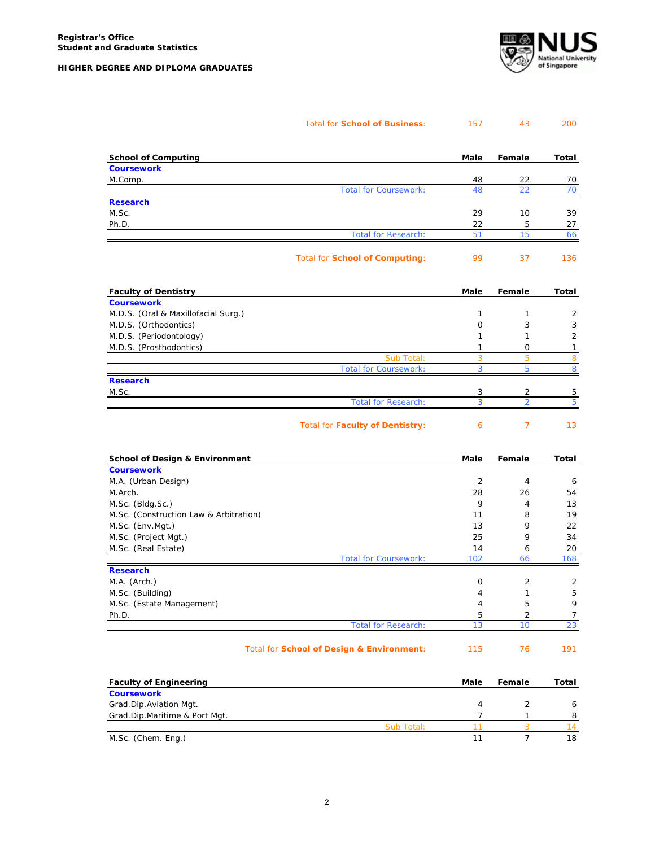

|  | Total for School of Business: | 157 | 200 |
|--|-------------------------------|-----|-----|
|  |                               |     |     |

| <b>School of Computing</b>                                 | Male           | Female         | Total          |
|------------------------------------------------------------|----------------|----------------|----------------|
| <b>Coursework</b>                                          |                |                |                |
| M.Comp.                                                    | 48             | 22             | 70             |
| <b>Total for Coursework:</b>                               | 48             | 22             | 70             |
| <b>Research</b>                                            |                |                |                |
| M.Sc.                                                      | 29             | 10             | 39             |
| Ph.D.                                                      | 22             | 5              | 27             |
| <b>Total for Research:</b>                                 | 51             | 15             | 66             |
| Total for School of Computing:                             | 99             | 37             | 136            |
| <b>Faculty of Dentistry</b>                                | Male           | Female         | Total          |
| <b>Coursework</b>                                          |                |                |                |
| M.D.S. (Oral & Maxillofacial Surg.)                        | 1              | $\mathbf{1}$   | $\overline{c}$ |
| M.D.S. (Orthodontics)                                      | 0              | 3              | 3              |
| M.D.S. (Periodontology)                                    | 1              | 1              | $\overline{2}$ |
| M.D.S. (Prosthodontics)                                    | 1              | O              | 1              |
| Sub Total:<br><b>Total for Coursework:</b>                 | 3<br>3         | 5<br>5         | 8<br>8         |
| <b>Research</b>                                            |                |                |                |
| M.Sc.                                                      | 3              | 2              | 5              |
| <b>Total for Research:</b>                                 | 3              | $\mathfrak{D}$ | 5              |
| Total for Faculty of Dentistry:                            | 6              | $\overline{7}$ | 13             |
| <b>School of Design &amp; Environment</b>                  | Male           | Female         | Total          |
| <b>Coursework</b>                                          |                |                |                |
| M.A. (Urban Design)                                        | $\overline{2}$ | $\overline{4}$ | 6              |
| M.Arch.                                                    | 28<br>9        | 26             | 54             |
| M.Sc. (Bldg.Sc.)<br>M.Sc. (Construction Law & Arbitration) | 11             | 4<br>8         | 13<br>19       |
| M.Sc. (Env.Mgt.)                                           | 13             | 9              | 22             |
| M.Sc. (Project Mgt.)                                       | 25             | 9              | 34             |
| M.Sc. (Real Estate)                                        | 14             | 6              | 20             |
| <b>Total for Coursework:</b>                               | 102            | 66             | 168            |
| <b>Research</b>                                            |                |                |                |
| M.A. (Arch.)                                               | 0              | $\overline{2}$ | $\overline{2}$ |
| M.Sc. (Building)                                           | $\overline{4}$ | 1              | 5              |
| M.Sc. (Estate Management)                                  | $\overline{4}$ | 5              | 9              |
| Ph.D.                                                      | 5              | 2              | 7              |
| <b>Total for Research:</b>                                 | 13             | 10             | 23             |
| Total for School of Design & Environment:                  | 115            | 76             | 191            |
| <b>Faculty of Engineering</b>                              | Male           | Female         | Total          |
| <b>Coursework</b>                                          |                |                |                |

| <b>Coursework</b>             |            |  |    |
|-------------------------------|------------|--|----|
| Grad.Dip.Aviation Mgt.        |            |  |    |
| Grad.Dip.Maritime & Port Mgt. |            |  |    |
|                               | Sub Total: |  |    |
| M.Sc. (Chem. Eng.)            |            |  | 18 |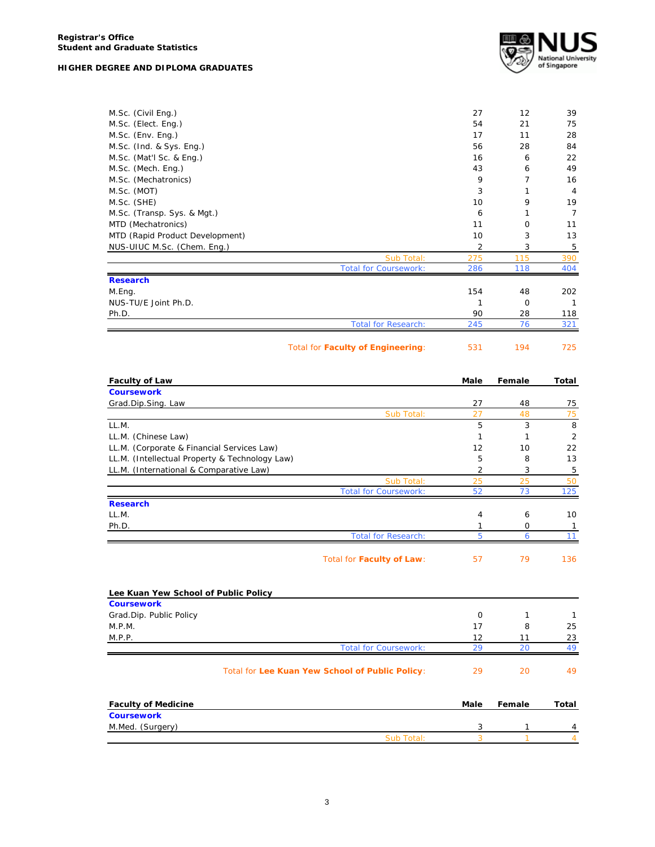|  |  | HIGHER DEGREE AND DIPLOMA GRADUATES |  |
|--|--|-------------------------------------|--|
|  |  |                                     |  |



| M.Sc. (Civil Eng.)              |                                   | 27  | 12       | 39             |
|---------------------------------|-----------------------------------|-----|----------|----------------|
| M.Sc. (Elect. Eng.)             |                                   | 54  | 21       | 75             |
| M.Sc. (Env. Eng.)               |                                   | 17  | 11       | 28             |
| M.Sc. (Ind. & Sys. Eng.)        |                                   | 56  | 28       | 84             |
| M.Sc. (Mat'l Sc. & Eng.)        |                                   | 16  | 6        | 22             |
| M.Sc. (Mech. Eng.)              |                                   | 43  | 6        | 49             |
| M.Sc. (Mechatronics)            |                                   | 9   | 7        | 16             |
| M.Sc. (MOT)                     |                                   | 3   | 1        | $\overline{4}$ |
| M.Sc. (SHE)                     |                                   | 10  | 9        | 19             |
| M.Sc. (Transp. Sys. & Mgt.)     |                                   | 6   | 1        | 7              |
| MTD (Mechatronics)              |                                   | 11  | $\Omega$ | 11             |
| MTD (Rapid Product Development) |                                   | 10  | 3        | 13             |
| NUS-UIUC M.Sc. (Chem. Eng.)     |                                   | 2   | 3        | 5              |
|                                 | Sub Total:                        | 275 | 115      | 390            |
|                                 | <b>Total for Coursework:</b>      | 286 | 118      | 404            |
| <b>Research</b>                 |                                   |     |          |                |
| M.Eng.                          |                                   | 154 | 48       | 202            |
| NUS-TU/E Joint Ph.D.            |                                   | 1   | 0        | 1              |
| Ph.D.                           |                                   | 90  | 28       | 118            |
|                                 | <b>Total for Research:</b>        | 245 | 76       | 321            |
|                                 | Total for Faculty of Engineering: | 531 | 194      | 725            |
|                                 |                                   |     |          |                |

| <b>Faculty of Law</b>                          |                              | Male | Female   | Total |
|------------------------------------------------|------------------------------|------|----------|-------|
| <b>Coursework</b>                              |                              |      |          |       |
| Grad.Dip.Sing. Law                             |                              | 27   | 48       | 75    |
|                                                | Sub Total:                   | 27   | 48       | 75    |
| LL.M.                                          |                              | 5    | 3        | 8     |
| LL.M. (Chinese Law)                            |                              | 1    | 1        | 2     |
| LL.M. (Corporate & Financial Services Law)     |                              | 12   | 10       | 22    |
| LL.M. (Intellectual Property & Technology Law) |                              | 5    | 8        | 13    |
| LL.M. (International & Comparative Law)        |                              | 2    | 3        | 5     |
|                                                | Sub Total:                   | 25   | 25       | 50    |
|                                                | <b>Total for Coursework:</b> | 52   | 73       | 125   |
| <b>Research</b>                                |                              |      |          |       |
| LL.M.                                          |                              | 4    | 6        | 10    |
| Ph.D.                                          |                              |      | $\Omega$ | 1     |
|                                                | <b>Total for Research:</b>   | 5    | 6        | 11    |
|                                                | Total for Faculty of Law:    | 57   | 79       | 136   |
|                                                |                              |      |          |       |
| Lee Kuan Yew School of Public Policy           |                              |      |          |       |
| <b>Coursework</b>                              |                              |      |          |       |

| Grad.Dip. Public Policy |                                    |    |
|-------------------------|------------------------------------|----|
| M.P.M.                  |                                    | 25 |
| M.P.P.                  | 12                                 | 23 |
|                         | <b>Total for Coursework:</b><br>29 | 49 |
|                         |                                    |    |

# Total for **Lee Kuan Yew School of Public Policy**: 29 20 49

| <b>Faculty of Medicine</b> |            | Male | Female | Total |
|----------------------------|------------|------|--------|-------|
| <b>Coursework</b>          |            |      |        |       |
| M.Med. (Surgery)           |            |      |        | 4     |
|                            | Sub Total: |      |        |       |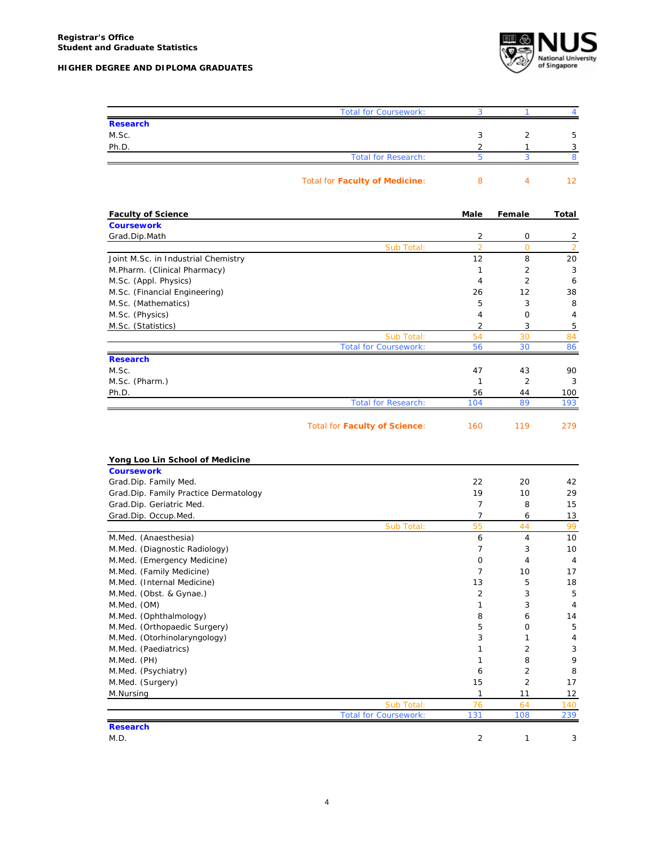

|                                         | <b>Total for Coursework:</b>   | 3              | 1              | 4              |
|-----------------------------------------|--------------------------------|----------------|----------------|----------------|
| <b>Research</b>                         |                                |                |                |                |
| M.Sc.                                   |                                | 3              | 2              | 5              |
| Ph.D.                                   |                                | 2              | 1              | 3              |
|                                         | <b>Total for Research:</b>     | 5              | 3              | 8              |
|                                         | Total for Faculty of Medicine: | 8              | 4              | 12             |
|                                         |                                |                |                |                |
| <b>Faculty of Science</b>               |                                | Male           | Female         | Total          |
| <b>Coursework</b><br>Grad.Dip.Math      |                                | 2              | 0              | $\overline{2}$ |
|                                         | Sub Total:                     | $\overline{2}$ | $\mathbf 0$    | $\overline{2}$ |
| Joint M.Sc. in Industrial Chemistry     |                                | 12             | 8              | 20             |
| M.Pharm. (Clinical Pharmacy)            |                                | 1              | 2              | 3              |
| M.Sc. (Appl. Physics)                   |                                | $\overline{4}$ | $\overline{2}$ | 6              |
| M.Sc. (Financial Engineering)           |                                | 26             | 12             | 38             |
| M.Sc. (Mathematics)                     |                                | 5              | 3              | 8              |
| M.Sc. (Physics)                         |                                | 4              | 0              | 4              |
| M.Sc. (Statistics)                      |                                | 2              | 3              | 5              |
|                                         | Sub Total:                     | 54             | 30             | 84             |
|                                         | <b>Total for Coursework:</b>   | 56             | 30             | 86             |
| <b>Research</b>                         |                                |                |                |                |
| M.Sc.                                   |                                | 47             | 43             | 90             |
| M.Sc. (Pharm.)                          |                                | 1              | 2              | 3              |
| Ph.D.                                   |                                | 56             | 44             | 100            |
|                                         | <b>Total for Research:</b>     | 104            | 89             | 193            |
|                                         | Total for Faculty of Science:  | 160            | 119            | 279            |
| Yong Loo Lin School of Medicine         |                                |                |                |                |
| <b>Coursework</b>                       |                                |                |                |                |
| Grad.Dip. Family Med.                   |                                | 22             | 20             | 42             |
| Grad.Dip. Family Practice Dermatology   |                                | 19             | 10             | 29             |
| Grad.Dip. Geriatric Med.                |                                | 7              | 8              | 15             |
| Grad.Dip. Occup.Med.                    |                                | 7              | 6              | 13             |
|                                         | Sub Total:                     | 55             | 44             | 99             |
| M.Med. (Anaesthesia)                    |                                | 6              | 4              | 10             |
| M.Med. (Diagnostic Radiology)           |                                | $\overline{7}$ | 3              | 10             |
| M.Med. (Emergency Medicine)             |                                | 0              | 4              | 4              |
| M.Med. (Family Medicine)                |                                | 7              | 10             | 17             |
| M.Med. (Internal Medicine)              |                                | 13             | 5              | 18             |
| M.Med. (Obst. & Gynae.)                 |                                | 2              | 3              | 5              |
| M.Med. (OM)                             |                                | 1              | 3              | 4              |
| M.Med. (Ophthalmology)                  |                                | 8              | 6              | 14             |
| M.Med. (Orthopaedic Surgery)            |                                | 5              | 0              | 5              |
| M.Med. (Otorhinolaryngology)            |                                | 3              | 1              | 4              |
| M.Med. (Paediatrics)                    |                                | 1              | 2<br>8         | 3<br>9         |
| M.Med. (PH)                             |                                | 1              | $\overline{c}$ |                |
| M.Med. (Psychiatry)<br>M.Med. (Surgery) |                                | 6<br>15        | $\overline{c}$ | 8<br>17        |
| M.Nursing                               |                                | 1              | 11             | 12             |
|                                         | Sub Total:                     | 76             | 64             | 140            |
|                                         | <b>Total for Coursework:</b>   | 131            | 108            | 239            |
| <b>Research</b>                         |                                |                |                |                |
| M.D.                                    |                                | 2              | 1              | 3              |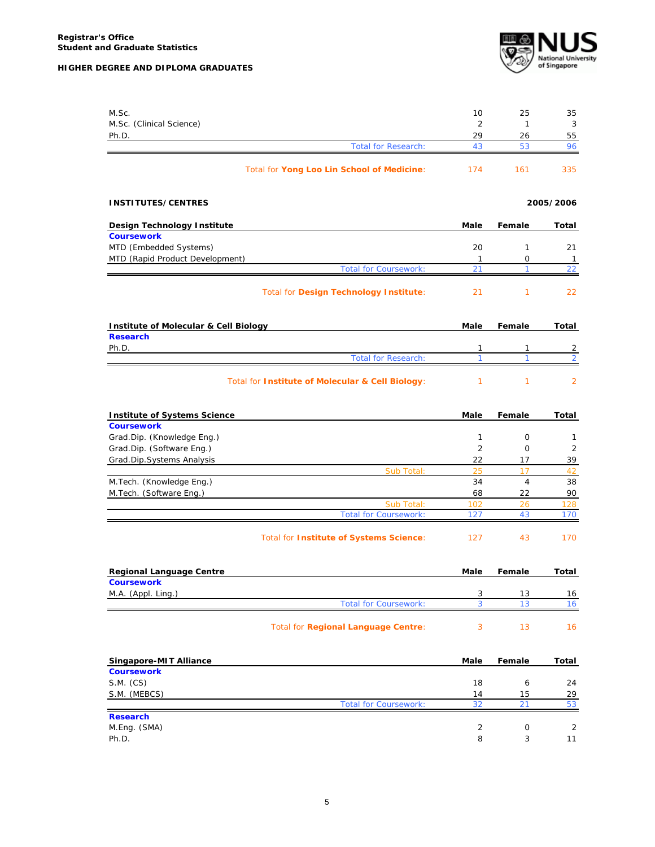

| M.Sc.                                                   | 10             | 25             | 35                  |
|---------------------------------------------------------|----------------|----------------|---------------------|
| M.Sc. (Clinical Science)                                | $\overline{2}$ | $\mathbf{1}$   | 3                   |
| Ph.D.                                                   | 29             | 26             | 55                  |
| <b>Total for Research:</b>                              | 43             | 53             | 96                  |
| Total for Yong Loo Lin School of Medicine:              | 174            | 161            | 335                 |
| <b>INSTITUTES/CENTRES</b>                               |                |                | 2005/2006           |
| <b>Design Technology Institute</b>                      | <b>Male</b>    | Female         | Total               |
| <b>Coursework</b>                                       |                |                |                     |
| MTD (Embedded Systems)                                  | 20             | $\mathbf{1}$   | 21                  |
| MTD (Rapid Product Development)                         | $\mathbf{1}$   | 0              | $\overline{1}$      |
| <b>Total for Coursework:</b>                            | 21             | 1              | 22                  |
| Total for Design Technology Institute:                  | 21             | $\mathbf{1}$   | 22                  |
| <b>Institute of Molecular &amp; Cell Biology</b>        | Male           | Female         | Total               |
| <b>Research</b>                                         |                |                |                     |
| Ph.D.                                                   | 1<br>1         | 1<br>1         | 2<br>$\overline{2}$ |
| <b>Total for Research:</b>                              |                |                |                     |
| Total for Institute of Molecular & Cell Biology:        | 1              | $\mathbf{1}$   | $\overline{2}$      |
| <b>Institute of Systems Science</b>                     | Male           | Female         | Total               |
| <b>Coursework</b>                                       | 1              | $\mathbf 0$    |                     |
| Grad.Dip. (Knowledge Eng.)<br>Grad.Dip. (Software Eng.) | $\overline{2}$ | $\mathbf 0$    | 1<br>2              |
| Grad.Dip.Systems Analysis                               | 22             | 17             | 39                  |
| Sub Total:                                              | 25             | 17             | 42                  |
| M.Tech. (Knowledge Eng.)                                | 34             | $\overline{4}$ | 38                  |
| M.Tech. (Software Eng.)                                 | 68             | 22             | 90                  |
| Sub Total:                                              | 102            | 26             | 128                 |
| <b>Total for Coursework:</b>                            | 127            | 43             | 170                 |
| Total for Institute of Systems Science:                 | 127            | 43             | 170                 |
| <b>Regional Language Centre</b>                         | Male           | Female         | Total               |
| <b>Coursework</b>                                       |                |                |                     |
| M.A. (Appl. Ling.)                                      | 3              | 13             | 16                  |
| <b>Total for Coursework:</b>                            | 3              | 13             | 16                  |
| Total for Regional Language Centre:                     | 3              | 13             | 16                  |
| Singapore-MIT Alliance                                  | Male           | Female         | <b>Total</b>        |
| <b>Coursework</b>                                       |                |                |                     |
| S.M. (CS)                                               | 18             | 6              | 24                  |
| S.M. (MEBCS)<br><b>Total for Coursework:</b>            | 14<br>32       | 15<br>21       | 29<br>53            |
| <b>Research</b>                                         |                |                |                     |
| M.Eng. (SMA)                                            | $\overline{2}$ | 0              | 2                   |
| Ph.D.                                                   | 8              | 3              | 11                  |
|                                                         |                |                |                     |